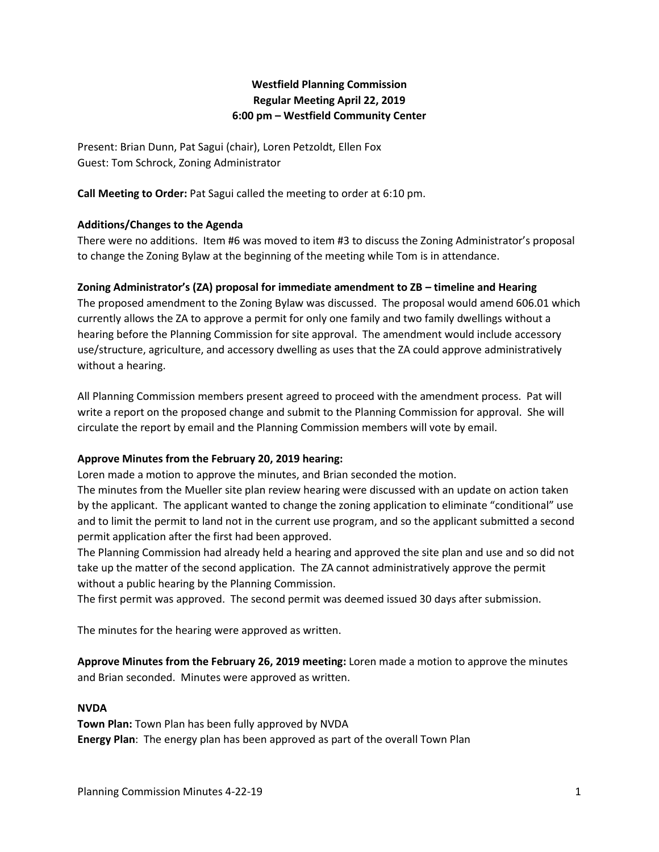# **Westfield Planning Commission Regular Meeting April 22, 2019 6:00 pm – Westfield Community Center**

Present: Brian Dunn, Pat Sagui (chair), Loren Petzoldt, Ellen Fox Guest: Tom Schrock, Zoning Administrator

**Call Meeting to Order:** Pat Sagui called the meeting to order at 6:10 pm.

## **Additions/Changes to the Agenda**

There were no additions. Item #6 was moved to item #3 to discuss the Zoning Administrator's proposal to change the Zoning Bylaw at the beginning of the meeting while Tom is in attendance.

## **Zoning Administrator's (ZA) proposal for immediate amendment to ZB – timeline and Hearing**

The proposed amendment to the Zoning Bylaw was discussed. The proposal would amend 606.01 which currently allows the ZA to approve a permit for only one family and two family dwellings without a hearing before the Planning Commission for site approval. The amendment would include accessory use/structure, agriculture, and accessory dwelling as uses that the ZA could approve administratively without a hearing.

All Planning Commission members present agreed to proceed with the amendment process. Pat will write a report on the proposed change and submit to the Planning Commission for approval. She will circulate the report by email and the Planning Commission members will vote by email.

#### **Approve Minutes from the February 20, 2019 hearing:**

Loren made a motion to approve the minutes, and Brian seconded the motion.

The minutes from the Mueller site plan review hearing were discussed with an update on action taken by the applicant. The applicant wanted to change the zoning application to eliminate "conditional" use and to limit the permit to land not in the current use program, and so the applicant submitted a second permit application after the first had been approved.

The Planning Commission had already held a hearing and approved the site plan and use and so did not take up the matter of the second application. The ZA cannot administratively approve the permit without a public hearing by the Planning Commission.

The first permit was approved. The second permit was deemed issued 30 days after submission.

The minutes for the hearing were approved as written.

**Approve Minutes from the February 26, 2019 meeting:** Loren made a motion to approve the minutes and Brian seconded. Minutes were approved as written.

#### **NVDA**

**Town Plan:** Town Plan has been fully approved by NVDA **Energy Plan**: The energy plan has been approved as part of the overall Town Plan